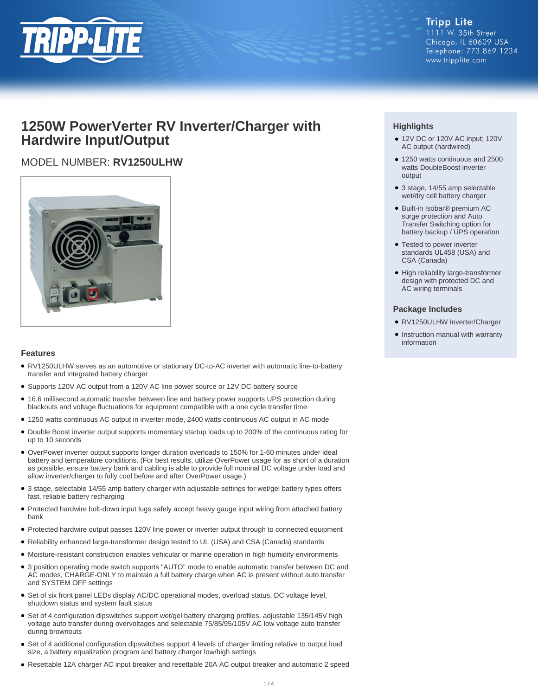

**Tripp Lite** 1111 W. 35th Street Chicago, IL 60609 USA Telephone: 773.869.1234 www.tripplite.com

# **1250W PowerVerter RV Inverter/Charger with Hardwire Input/Output**

# MODEL NUMBER: **RV1250ULHW**



### **Features**

- RV1250ULHW serves as an automotive or stationary DC-to-AC inverter with automatic line-to-battery transfer and integrated battery charger
- Supports 120V AC output from a 120V AC line power source or 12V DC battery source
- 16.6 millisecond automatic transfer between line and battery power supports UPS protection during blackouts and voltage fluctuations for equipment compatible with a one cycle transfer time
- 1250 watts continuous AC output in inverter mode, 2400 watts continuous AC output in AC mode
- Double Boost inverter output supports momentary startup loads up to 200% of the continuous rating for up to 10 seconds
- OverPower inverter output supports longer duration overloads to 150% for 1-60 minutes under ideal battery and temperature conditions. (For best results, utilize OverPower usage for as short of a duration as possible, ensure battery bank and cabling is able to provide full nominal DC voltage under load and allow inverter/charger to fully cool before and after OverPower usage.)
- 3 stage, selectable 14/55 amp battery charger with adjustable settings for wet/gel battery types offers fast, reliable battery recharging
- Protected hardwire bolt-down input lugs safely accept heavy gauge input wiring from attached battery bank
- Protected hardwire output passes 120V line power or inverter output through to connected equipment
- Reliability enhanced large-transformer design tested to UL (USA) and CSA (Canada) standards
- Moisture-resistant construction enables vehicular or marine operation in high humidity environments
- 3 position operating mode switch supports "AUTO" mode to enable automatic transfer between DC and AC modes, CHARGE-ONLY to maintain a full battery charge when AC is present without auto transfer and SYSTEM OFF settings
- Set of six front panel LEDs display AC/DC operational modes, overload status, DC voltage level, shutdown status and system fault status
- Set of 4 configuration dipswitches support wet/gel battery charging profiles, adjustable 135/145V high voltage auto transfer during overvoltages and selectable 75/85/95/105V AC low voltage auto transfer during brownouts
- Set of 4 additional configuration dipswitches support 4 levels of charger limiting relative to output load size, a battery equalization program and battery charger low/high settings
- Resettable 12A charger AC input breaker and resettable 20A AC output breaker and automatic 2 speed

## **Highlights**

- 12V DC or 120V AC input; 120V AC output (hardwired)
- 1250 watts continuous and 2500 watts DoubleBoost inverter output
- 3 stage, 14/55 amp selectable wet/dry cell battery charger
- Built-in Isobar® premium AC surge protection and Auto Transfer Switching option for battery backup / UPS operation
- Tested to power inverter standards UL458 (USA) and CSA (Canada)
- High reliability large-transformer design with protected DC and AC wiring terminals

### **Package Includes**

- RV1250ULHW Inverter/Charger
- Instruction manual with warranty information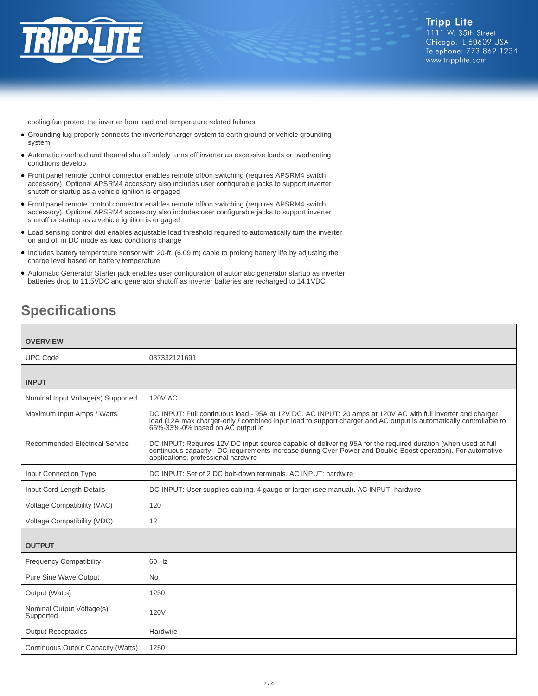

cooling fan protect the inverter from load and temperature related failures

- Grounding lug properly connects the inverter/charger system to earth ground or vehicle grounding system
- Automatic overload and thermal shutoff safely turns off inverter as excessive loads or overheating conditions develop
- Front panel remote control connector enables remote off/on switching (requires APSRM4 switch accessory). Optional APSRM4 accessory also includes user configurable jacks to support inverter shutoff or startup as a vehicle ignition is engaged
- Front panel remote control connector enables remote off/on switching (requires APSRM4 switch accessory). Optional APSRM4 accessory also includes user configurable jacks to support inverter shutoff or startup as a vehicle ignition is engaged
- Load sensing control dial enables adjustable load threshold required to automatically turn the inverter on and off in DC mode as load conditions change
- Includes battery temperature sensor with 20-ft. (6.09 m) cable to prolong battery life by adjusting the charge level based on battery temperature
- Automatic Generator Starter jack enables user configuration of automatic generator startup as inverter batteries drop to 11.5VDC and generator shutoff as inverter batteries are recharged to 14.1VDC

# **Specifications**

### **OVERVIEW**

| <b>UPC Code</b>                        | 037332121691                                                                                                                                                                                                                                                          |  |
|----------------------------------------|-----------------------------------------------------------------------------------------------------------------------------------------------------------------------------------------------------------------------------------------------------------------------|--|
| <b>INPUT</b>                           |                                                                                                                                                                                                                                                                       |  |
| Nominal Input Voltage(s) Supported     | <b>120V AC</b>                                                                                                                                                                                                                                                        |  |
| Maximum Input Amps / Watts             | DC INPUT: Full continuous load - 95A at 12V DC. AC INPUT: 20 amps at 120V AC with full inverter and charger<br>load (12A max charger-only / combined input load to support charger and AC output is automatically controllable to<br>66%-33%-0% based on AC output lo |  |
| <b>Recommended Electrical Service</b>  | DC INPUT: Requires 12V DC input source capable of delivering 95A for the required duration (when used at full<br>continuous capacity - DC requirements increase during Over-Power and Double-Boost operation). For automotive<br>applications, professional hardwire  |  |
| <b>Input Connection Type</b>           | DC INPUT: Set of 2 DC bolt-down terminals, AC INPUT: hardwire                                                                                                                                                                                                         |  |
| Input Cord Length Details              | DC INPUT: User supplies cabling. 4 gauge or larger (see manual). AC INPUT: hardwire                                                                                                                                                                                   |  |
| Voltage Compatibility (VAC)            | 120                                                                                                                                                                                                                                                                   |  |
| Voltage Compatibility (VDC)            | 12                                                                                                                                                                                                                                                                    |  |
| <b>OUTPUT</b>                          |                                                                                                                                                                                                                                                                       |  |
| <b>Frequency Compatibility</b>         | 60 Hz                                                                                                                                                                                                                                                                 |  |
| <b>Pure Sine Wave Output</b>           | <b>No</b>                                                                                                                                                                                                                                                             |  |
| Output (Watts)                         | 1250                                                                                                                                                                                                                                                                  |  |
| Nominal Output Voltage(s)<br>Supported | 120V                                                                                                                                                                                                                                                                  |  |
| <b>Output Receptacles</b>              | Hardwire                                                                                                                                                                                                                                                              |  |
| Continuous Output Capacity (Watts)     | 1250                                                                                                                                                                                                                                                                  |  |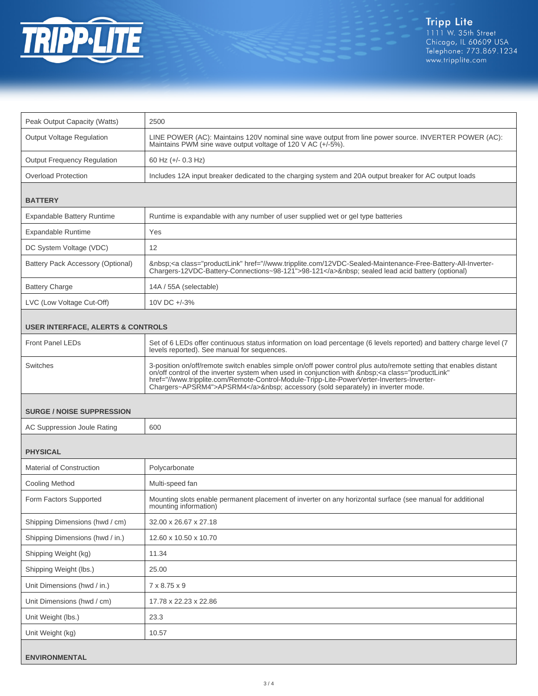

| Peak Output Capacity (Watts)                 | 2500                                                                                                                                                                                                                                                                                                                                                                                       |  |
|----------------------------------------------|--------------------------------------------------------------------------------------------------------------------------------------------------------------------------------------------------------------------------------------------------------------------------------------------------------------------------------------------------------------------------------------------|--|
| <b>Output Voltage Regulation</b>             | LINE POWER (AC): Maintains 120V nominal sine wave output from line power source. INVERTER POWER (AC):<br>Maintains PWM sine wave output voltage of 120 V AC (+/-5%).                                                                                                                                                                                                                       |  |
| <b>Output Frequency Regulation</b>           | 60 Hz (+/- 0.3 Hz)                                                                                                                                                                                                                                                                                                                                                                         |  |
| <b>Overload Protection</b>                   | Includes 12A input breaker dedicated to the charging system and 20A output breaker for AC output loads                                                                                                                                                                                                                                                                                     |  |
| <b>BATTERY</b>                               |                                                                                                                                                                                                                                                                                                                                                                                            |  |
| <b>Expandable Battery Runtime</b>            | Runtime is expandable with any number of user supplied wet or gel type batteries                                                                                                                                                                                                                                                                                                           |  |
| <b>Expandable Runtime</b>                    | Yes                                                                                                                                                                                                                                                                                                                                                                                        |  |
| DC System Voltage (VDC)                      | 12                                                                                                                                                                                                                                                                                                                                                                                         |  |
| Battery Pack Accessory (Optional)            | <a class="productLink" href="//www.tripplite.com/12VDC-Sealed-Maintenance-Free-Battery-All-Inverter-&lt;br&gt;Chargers-12VDC-Battery-Connections~98-121">98-121</a> sealed lead acid battery (optional)                                                                                                                                                                                    |  |
| <b>Battery Charge</b>                        | 14A / 55A (selectable)                                                                                                                                                                                                                                                                                                                                                                     |  |
| LVC (Low Voltage Cut-Off)                    | 10V DC +/-3%                                                                                                                                                                                                                                                                                                                                                                               |  |
| <b>USER INTERFACE, ALERTS &amp; CONTROLS</b> |                                                                                                                                                                                                                                                                                                                                                                                            |  |
| <b>Front Panel LEDs</b>                      | Set of 6 LEDs offer continuous status information on load percentage (6 levels reported) and battery charge level (7<br>levels reported). See manual for sequences.                                                                                                                                                                                                                        |  |
| <b>Switches</b>                              | 3-position on/off/remote switch enables simple on/off power control plus auto/remote setting that enables distant<br>on/off control of the inverter system when used in conjunction with   < a class="productLink"<br>href="//www.tripplite.com/Remote-Control-Module-Tripp-Lite-PowerVerter-Inverters-Inverter-<br>Chargers~APSRM4">APSRM4  accessory (sold separately) in inverter mode. |  |
| <b>SURGE / NOISE SUPPRESSION</b>             |                                                                                                                                                                                                                                                                                                                                                                                            |  |
| AC Suppression Joule Rating                  | 600                                                                                                                                                                                                                                                                                                                                                                                        |  |
| <b>PHYSICAL</b>                              |                                                                                                                                                                                                                                                                                                                                                                                            |  |
| Material of Construction                     | Polycarbonate                                                                                                                                                                                                                                                                                                                                                                              |  |
| Cooling Method                               | Multi-speed fan                                                                                                                                                                                                                                                                                                                                                                            |  |
| Form Factors Supported                       | Mounting slots enable permanent placement of inverter on any horizontal surface (see manual for additional<br>mounting information)                                                                                                                                                                                                                                                        |  |
| Shipping Dimensions (hwd / cm)               | 32.00 x 26.67 x 27.18                                                                                                                                                                                                                                                                                                                                                                      |  |
| Shipping Dimensions (hwd / in.)              | 12.60 x 10.50 x 10.70                                                                                                                                                                                                                                                                                                                                                                      |  |
| Shipping Weight (kg)                         | 11.34                                                                                                                                                                                                                                                                                                                                                                                      |  |
| Shipping Weight (lbs.)                       | 25.00                                                                                                                                                                                                                                                                                                                                                                                      |  |
| Unit Dimensions (hwd / in.)                  | 7 x 8.75 x 9                                                                                                                                                                                                                                                                                                                                                                               |  |
| Unit Dimensions (hwd / cm)                   | 17.78 x 22.23 x 22.86                                                                                                                                                                                                                                                                                                                                                                      |  |
| Unit Weight (lbs.)                           | 23.3                                                                                                                                                                                                                                                                                                                                                                                       |  |
| Unit Weight (kg)                             | 10.57                                                                                                                                                                                                                                                                                                                                                                                      |  |
| <b>ENVIRONMENTAL</b>                         |                                                                                                                                                                                                                                                                                                                                                                                            |  |